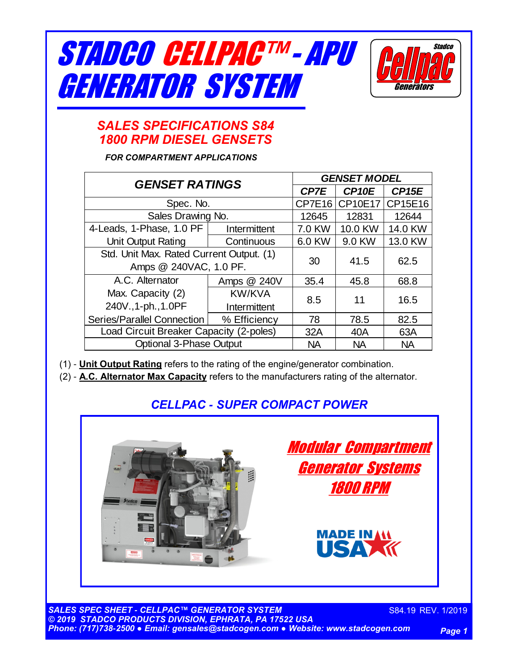



# *SALES SPECIFICATIONS S84 1800 RPM DIESEL GENSETS*

*FOR COMPARTMENT APPLICATIONS*

| <b>GENSET RATINGS</b>                    |               | <b>GENSET MODEL</b> |                   |                   |  |
|------------------------------------------|---------------|---------------------|-------------------|-------------------|--|
|                                          |               | <b>CP7E</b>         | CP <sub>10E</sub> | CP <sub>15E</sub> |  |
| Spec. No.                                |               | CP7E16              | <b>CP10E17</b>    | CP15E16           |  |
| Sales Drawing No.                        |               | 12645               | 12831             | 12644             |  |
| 4-Leads, 1-Phase, 1.0 PF                 | Intermittent  | 7.0 KW              | 10.0 KW           | 14.0 KW           |  |
| Unit Output Rating                       | Continuous    | 6.0 KW              | 9.0 KW            | 13.0 KW           |  |
| Std. Unit Max. Rated Current Output. (1) |               | 30                  | 41.5              | 62.5              |  |
| Amps @ 240VAC, 1.0 PF.                   |               |                     |                   |                   |  |
| A.C. Alternator                          | Amps @ 240V   | 35.4                | 45.8              | 68.8              |  |
| Max. Capacity (2)                        | <b>KW/KVA</b> | 8.5                 | 11                | 16.5              |  |
| 240V., 1-ph., 1.0PF                      | Intermittent  |                     |                   |                   |  |
| Series/Parallel Connection               | % Efficiency  | 78                  | 78.5              | 82.5              |  |
| Load Circuit Breaker Capacity (2-poles)  |               | 32A                 | 40A               | 63A               |  |
| <b>Optional 3-Phase Output</b>           |               | <b>NA</b>           | <b>NA</b>         | <b>NA</b>         |  |

(1) - **Unit Output Rating** refers to the rating of the engine/generator combination.

(2) - **A.C. Alternator Max Capacity** refers to the manufacturers rating of the alternator.

# *CELLPAC - SUPER COMPACT POWER*



*SALES SPEC SHEET - CELLPAC™ GENERATOR SYSTEM © 2019 STADCO PRODUCTS DIVISION, EPHRATA, PA 17522 USA Phone: (717)738-2500 ● Email: gensales@stadcogen.com ● Website: www.stadcogen.com*

S84.19 REV. 1/2019

*Page 1*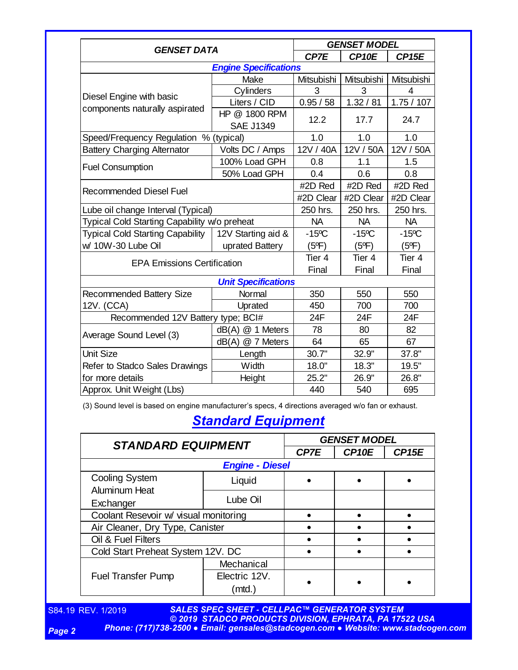| <b>GENSET DATA</b>                                         |                            | <b>GENSET MODEL</b> |                   |                   |
|------------------------------------------------------------|----------------------------|---------------------|-------------------|-------------------|
|                                                            |                            | CP7E                | CP <sub>10E</sub> | CP <sub>15E</sub> |
| <b>Engine Specifications</b>                               |                            |                     |                   |                   |
|                                                            | Make                       | Mitsubishi          | Mitsubishi        | Mitsubishi        |
|                                                            | Cylinders                  | 3                   | 3                 | 4                 |
| Diesel Engine with basic<br>components naturally aspirated | Liters / CID               | 0.95 / 58           | 1.32 / 81         | 1.75/107          |
|                                                            | HP @ 1800 RPM              | 12.2                | 17.7              | 24.7              |
|                                                            | <b>SAE J1349</b>           |                     |                   |                   |
| Speed/Frequency Regulation % (typical)                     |                            | 1.0                 | 1.0               | 1.0               |
| <b>Battery Charging Alternator</b>                         | Volts DC / Amps            | 12V / 40A           | 12V / 50A         | 12V / 50A         |
|                                                            | 100% Load GPH              | 0.8                 | 1.1               | 1.5               |
| <b>Fuel Consumption</b>                                    | 50% Load GPH               | 0.4                 | 0.6               | 0.8               |
| <b>Recommended Diesel Fuel</b>                             |                            | #2D Red             | #2D Red           | #2D Red           |
|                                                            |                            | #2D Clear           | #2D Clear         | #2D Clear         |
| Lube oil change Interval (Typical)                         |                            | 250 hrs.            | 250 hrs.          | 250 hrs.          |
| Typical Cold Starting Capability w/o preheat               |                            | <b>NA</b>           | <b>NA</b>         | <b>NA</b>         |
| <b>Typical Cold Starting Capability</b>                    | 12V Starting aid &         | $-15^{\circ}$ C     | $-15^{\circ}$ C   | $-15^{\circ}$ C   |
| w/ 10W-30 Lube Oil                                         | uprated Battery            | $(5^{\circ}F)$      | $(5^{\circ}F)$    | $(5^{\circ}F)$    |
| <b>EPA Emissions Certification</b>                         |                            | Tier <sub>4</sub>   | Tier <sub>4</sub> | Tier <sub>4</sub> |
|                                                            |                            | Final               | Final             | Final             |
|                                                            | <b>Unit Specifications</b> |                     |                   |                   |
| Recommended Battery Size                                   | Normal                     | 350                 | 550               | 550               |
| 12V. (CCA)                                                 | Uprated                    | 450                 | 700               | 700               |
| Recommended 12V Battery type; BCI#                         |                            | 24F                 | 24F               | 24F               |
| Average Sound Level (3)                                    | $dB(A) \ @$ 1 Meters       | 78                  | 80                | 82                |
|                                                            | dB(A) @ 7 Meters           | 64                  | 65                | 67                |
| <b>Unit Size</b>                                           | Length                     | 30.7"               | 32.9"             | 37.8"             |
| Refer to Stadco Sales Drawings                             | Width                      | 18.0"               | 18.3"             | 19.5"             |
| for more details                                           | Height                     | 25.2"               | 26.9"             | 26.8"             |
| Approx. Unit Weight (Lbs)                                  |                            | 440                 | 540               | 695               |

(3) Sound level is based on engine manufacturer's specs, 4 directions averaged w/o fan or exhaust.

# *Standard Equipment*

| <b>STANDARD EQUIPMENT</b>             |               | <b>GENSET MODEL</b> |                   |                   |
|---------------------------------------|---------------|---------------------|-------------------|-------------------|
|                                       |               | CP7E                | CP <sub>10E</sub> | CP <sub>15E</sub> |
| <b>Engine - Diesel</b>                |               |                     |                   |                   |
| <b>Cooling System</b>                 | Liquid        |                     |                   |                   |
| <b>Aluminum Heat</b><br>Exchanger     | Lube Oil      |                     |                   |                   |
| Coolant Resevoir w/ visual monitoring |               |                     |                   |                   |
| Air Cleaner, Dry Type, Canister       |               |                     |                   |                   |
| Oil & Fuel Filters                    |               |                     |                   |                   |
| Cold Start Preheat System 12V. DC     |               |                     |                   |                   |
| <b>Fuel Transfer Pump</b>             | Mechanical    |                     |                   |                   |
|                                       | Electric 12V. |                     |                   |                   |
|                                       | $($ mtd. $)$  |                     |                   |                   |

S84.19 REV. 1/2019

*SALES SPEC SHEET - CELLPAC™ GENERATOR SYSTEM © 2019 STADCO PRODUCTS DIVISION, EPHRATA, PA 17522 USA Phone: (717)738-2500 ● Email: gensales@stadcogen.com ● Website: www.stadcogen.com*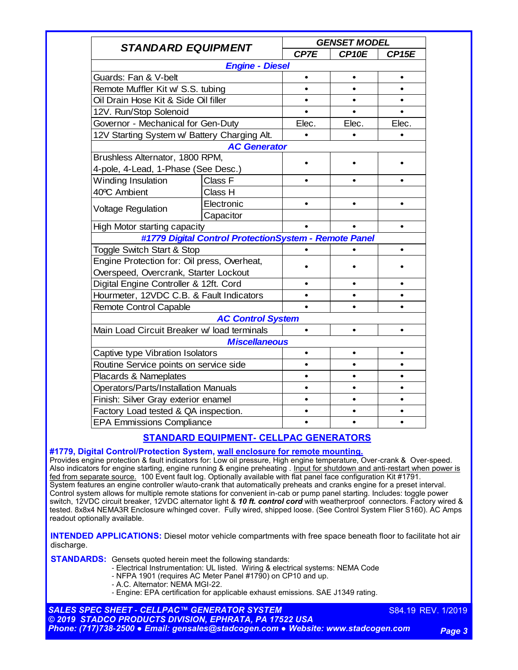| <b>STANDARD EQUIPMENT</b>                    |                                                       |           | <b>GENSET MODEL</b> |                   |  |
|----------------------------------------------|-------------------------------------------------------|-----------|---------------------|-------------------|--|
|                                              |                                                       | CP7E      | CP <sub>10E</sub>   | CP <sub>15E</sub> |  |
|                                              | <b>Engine - Diesel</b>                                |           |                     |                   |  |
| Guards: Fan & V-belt                         |                                                       | $\bullet$ | $\bullet$           | $\bullet$         |  |
| Remote Muffler Kit w/ S.S. tubing            |                                                       |           |                     |                   |  |
| Oil Drain Hose Kit & Side Oil filler         |                                                       |           |                     | $\bullet$         |  |
| 12V. Run/Stop Solenoid                       |                                                       |           |                     |                   |  |
| Governor - Mechanical for Gen-Duty           |                                                       | Elec.     | Elec.               | Elec.             |  |
| 12V Starting System w/ Battery Charging Alt. |                                                       |           |                     |                   |  |
|                                              | <b>AC Generator</b>                                   |           |                     |                   |  |
| Brushless Alternator, 1800 RPM,              |                                                       |           |                     |                   |  |
| 4-pole, 4-Lead, 1-Phase (See Desc.)          |                                                       |           |                     |                   |  |
| Winding Insulation                           | Class F                                               |           |                     |                   |  |
| 40°C Ambient                                 | Class H                                               |           |                     |                   |  |
| <b>Voltage Regulation</b>                    | Electronic                                            | $\bullet$ |                     | $\bullet$         |  |
|                                              | Capacitor                                             |           |                     |                   |  |
| High Motor starting capacity                 |                                                       |           |                     | $\bullet$         |  |
|                                              | #1779 Digital Control ProtectionSystem - Remote Panel |           |                     |                   |  |
| Toggle Switch Start & Stop                   |                                                       |           |                     |                   |  |
| Engine Protection for: Oil press, Overheat,  |                                                       |           |                     |                   |  |
| Overspeed, Overcrank, Starter Lockout        |                                                       |           |                     |                   |  |
| Digital Engine Controller & 12ft. Cord       |                                                       |           |                     |                   |  |
| Hourmeter, 12VDC C.B. & Fault Indicators     |                                                       |           |                     |                   |  |
| Remote Control Capable                       |                                                       |           |                     |                   |  |
|                                              | <b>AC Control System</b>                              |           |                     |                   |  |
| Main Load Circuit Breaker w/ load terminals  |                                                       |           |                     |                   |  |
|                                              | <b>Miscellaneous</b>                                  |           |                     |                   |  |
| Captive type Vibration Isolators             |                                                       | $\bullet$ | $\bullet$           | $\bullet$         |  |
| Routine Service points on service side       |                                                       |           |                     |                   |  |
| Placards & Nameplates                        |                                                       |           |                     |                   |  |
| <b>Operators/Parts/Installation Manuals</b>  |                                                       |           |                     |                   |  |
| Finish: Silver Gray exterior enamel          |                                                       |           |                     |                   |  |
| Factory Load tested & QA inspection.         |                                                       |           |                     |                   |  |
| <b>EPA Emmissions Compliance</b>             |                                                       |           |                     |                   |  |

## **STANDARD EQUIPMENT- CELLPAC GENERATORS**

### **#1779, Digital Control/Protection System, wall enclosure for remote mounting.**

Provides engine protection & fault indicators for: Low oil pressure, High engine temperature, Over-crank & Over-speed. Also indicators for engine starting, engine running & engine preheating . Input for shutdown and anti-restart when power is fed from separate source. 100 Event fault log. Optionally available with flat panel face configuration Kit #1791. System features an engine controller w/auto-crank that automatically preheats and cranks engine for a preset interval. Control system allows for multiple remote stations for convenient in-cab or pump panel starting. Includes: toggle power switch, 12VDC circuit breaker, 12VDC alternator light & *10 ft. control cord* with weatherproof connectors. Factory wired & tested. 8x8x4 NEMA3R Enclosure w/hinged cover. Fully wired, shipped loose. (See Control System Flier S160). AC Amps readout optionally available.

**INTENDED APPLICATIONS:** Diesel motor vehicle compartments with free space beneath floor to facilitate hot air discharge.

**STANDARDS:** Gensets quoted herein meet the following standards:

- Electrical Instrumentation: UL listed. Wiring & electrical systems: NEMA Code
- NFPA 1901 (requires AC Meter Panel #1790) on CP10 and up.
- A.C. Alternator: NEMA MGI-22.
- Engine: EPA certification for applicable exhaust emissions. SAE J1349 rating.

*SALES SPEC SHEET - CELLPAC™ GENERATOR SYSTEM © 2019 STADCO PRODUCTS DIVISION, EPHRATA, PA 17522 USA Phone: (717)738-2500 ● Email: gensales@stadcogen.com ● Website: www.stadcogen.com*

S84.19 REV. 1/2019

*Page 3*